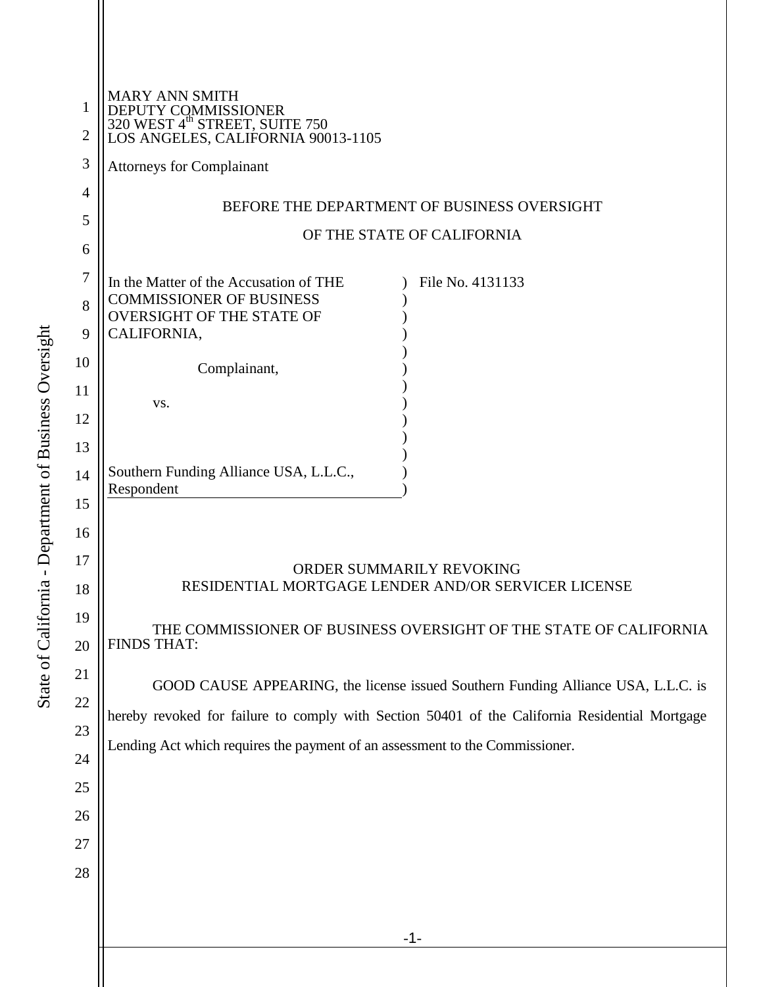| 1<br>$\overline{2}$ | <b>MARY ANN SMITH</b><br>DEPUTY COMMISSIONER<br>320 WEST 4 <sup>th</sup> STREET, SUITE 750<br>LOS ANGELES, CALIFORNIA 90013-1105  |
|---------------------|-----------------------------------------------------------------------------------------------------------------------------------|
| 3                   | <b>Attorneys for Complainant</b>                                                                                                  |
| 4                   | BEFORE THE DEPARTMENT OF BUSINESS OVERSIGHT                                                                                       |
| 5                   | OF THE STATE OF CALIFORNIA                                                                                                        |
| 6                   |                                                                                                                                   |
| 7<br>8              | In the Matter of the Accusation of THE<br>File No. 4131133<br><b>COMMISSIONER OF BUSINESS</b><br><b>OVERSIGHT OF THE STATE OF</b> |
| 9<br>10             | CALIFORNIA,                                                                                                                       |
| 11                  | Complainant,                                                                                                                      |
| 12                  | VS.                                                                                                                               |
| 13                  |                                                                                                                                   |
| 14                  | Southern Funding Alliance USA, L.L.C.,                                                                                            |
| 15                  | Respondent                                                                                                                        |
| 16                  |                                                                                                                                   |
| 17                  | ORDER SUMMARILY REVOKING                                                                                                          |
| 18                  | RESIDENTIAL MORTGAGE LENDER AND/OR SERVICER LICENSE                                                                               |
| 19                  | THE COMMISSIONER OF BUSINESS OVERSIGHT OF THE STATE OF CALIFORNIA<br><b>FINDS THAT:</b>                                           |
| 20                  |                                                                                                                                   |
| 21                  | GOOD CAUSE APPEARING, the license issued Southern Funding Alliance USA, L.L.C. is                                                 |
| 22                  | hereby revoked for failure to comply with Section 50401 of the California Residential Mortgage                                    |
| 23                  | Lending Act which requires the payment of an assessment to the Commissioner.                                                      |
| 24                  |                                                                                                                                   |
| 25                  |                                                                                                                                   |
| 26                  |                                                                                                                                   |
| 27                  |                                                                                                                                   |
| 28                  |                                                                                                                                   |
|                     |                                                                                                                                   |
|                     | $-1-$                                                                                                                             |
|                     |                                                                                                                                   |